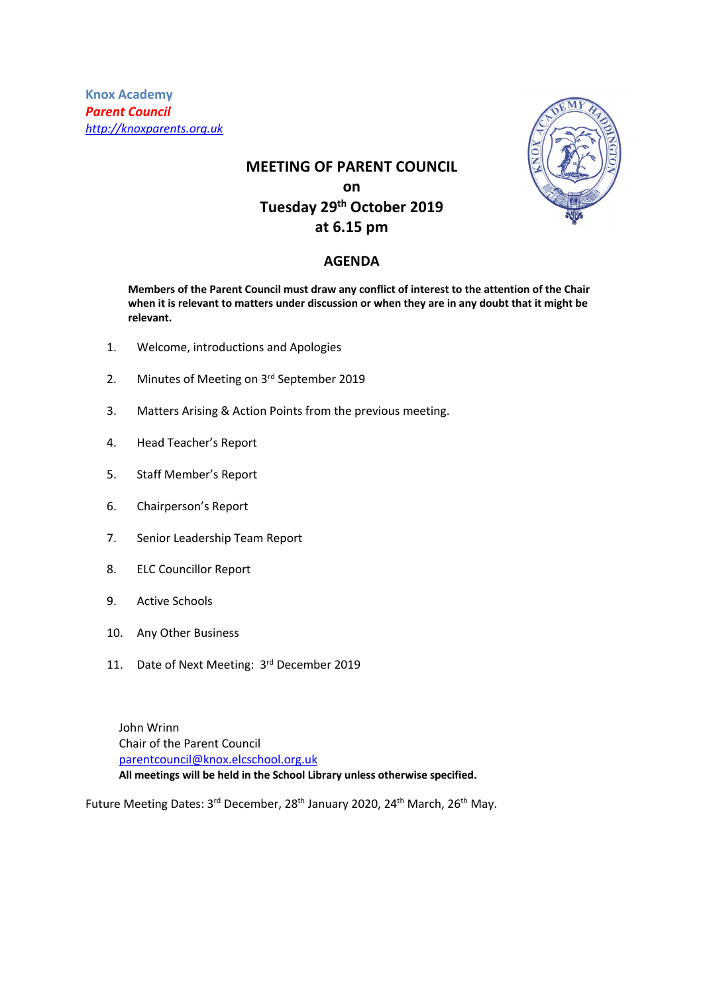**Knox Academy** *Parent Council http://knoxparents.org.uk*

# **MEETING OF PARENT COUNCIL on Tuesday 29th October 2019 at 6.15 pm**

# **AGENDA**

**Members of the Parent Council must draw any conflict of interest to the attention of the Chair when it is relevant to matters under discussion or when they are in any doubt that it might be relevant.**

- 1. Welcome, introductions and Apologies
- 2. Minutes of Meeting on 3rd September 2019
- 3. Matters Arising & Action Points from the previous meeting.
- 4. Head Teacher's Report
- 5. Staff Member's Report
- 6. Chairperson's Report
- 7. Senior Leadership Team Report
- 8. ELC Councillor Report
- 9. Active Schools
- 10. Any Other Business
- 11. Date of Next Meeting: 3rd December 2019

John Wrinn Chair of the Parent Council parentcouncil@knox.elcschool.org.uk **All meetings will be held in the School Library unless otherwise specified.**

Future Meeting Dates: 3<sup>rd</sup> December, 28<sup>th</sup> January 2020, 24<sup>th</sup> March, 26<sup>th</sup> May.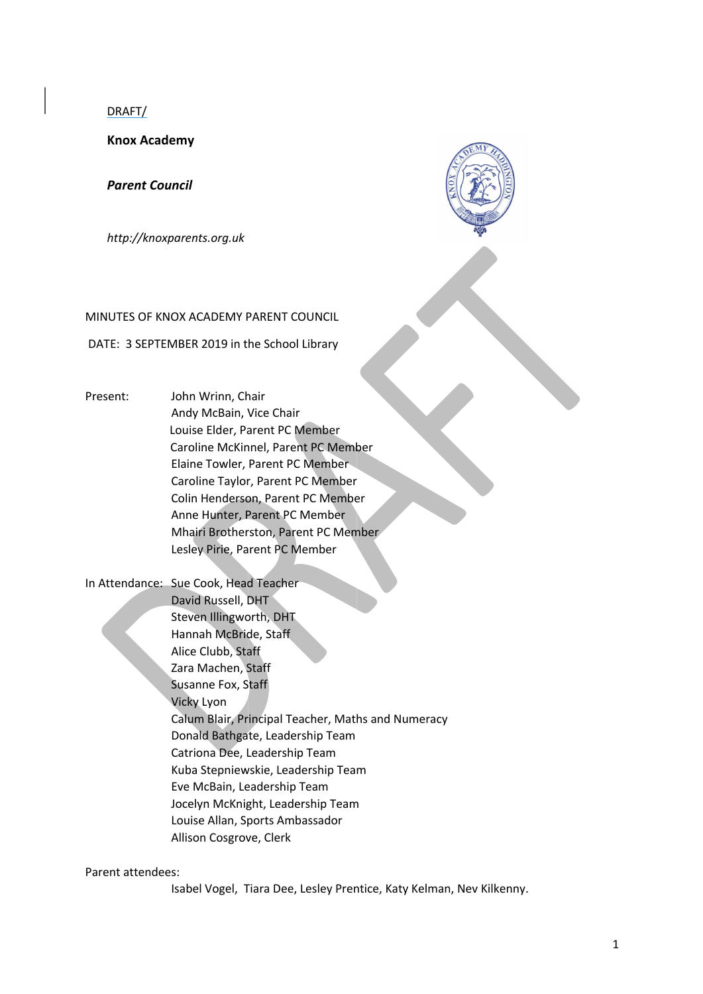DRAFT/

**Knox Academy** 

*Parent Council* 

*http://knoxparents.org.uk* 

#### MINUTES OF KNOX ACADEMY PARENT COUNCIL

DATE: 3 SEPTEMBER 2019 in the School Library

- Present: John Wrinn, Chair Andy McBain, Vice Chair Louise Elder, Parent PC Member Caroline McKinnel, Parent PC Member Elaine Towler, Parent PC Member Caroline Taylor, Parent PC Member Colin Henderson, Parent PC Member Anne Hunter, Parent PC Member Mhairi Brotherston, Parent PC Member Lesley Pirie, Parent PC Member
- In Attendance: Sue Cook, Head Teacher David Russell, DHT Steven Illingworth, DHT Hannah McBride, Staff Alice Clubb, Staff Zara Machen, Staff Susanne Fox, Staff Vicky Lyon Calum Blair, Principal Teacher, Maths and Numeracy Donald Bathgate, Leadership Team Catriona Dee, Leadership Team Kuba Stepniewskie, Leadership Team Eve McBain, Leadership Team Jocelyn McKnight, Leadership Team Louise Allan, Sports Ambassador Allison Cosgrove, Clerk

#### Parent attendees:

Isabel Vogel, Tiara Dee, Lesley Prentice, Katy Kelman, Nev Kilkenny.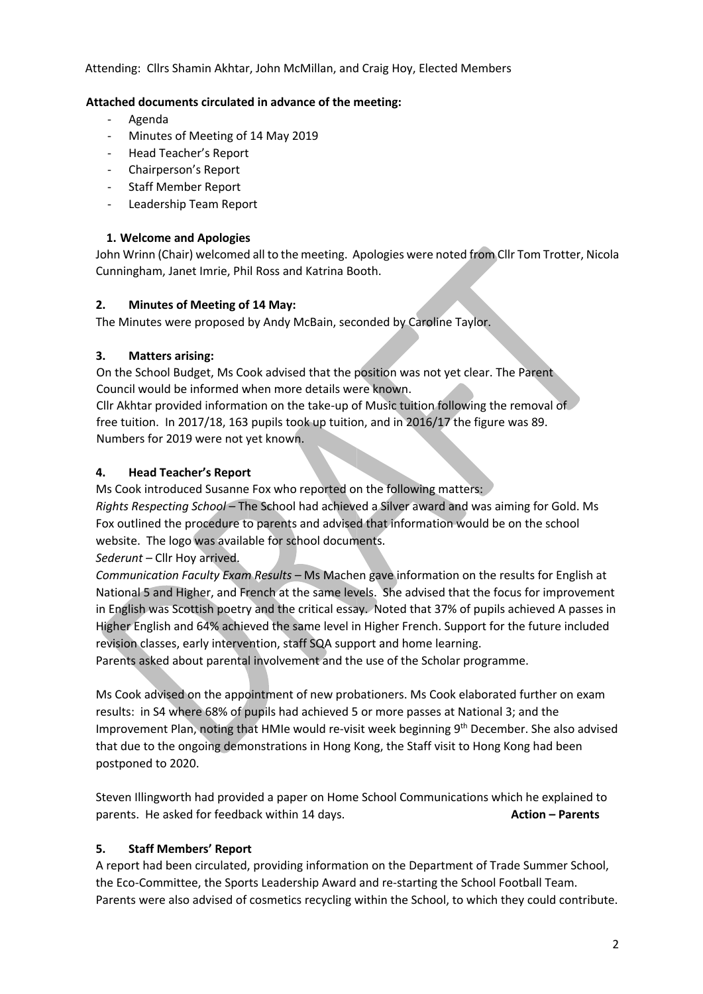Attending: Cllrs Shamin Akhtar, John McMillan, and Craig Hoy, Elected Members

# **Attached documents circulated in advance of the meeting:**

- Agenda
- Minutes of Meeting of 14 May 2019
- Head Teacher's Report
- Chairperson's Report
- Staff Member Report
- Leadership Team Report

# **1. Welcome and Apologies**

John Wrinn (Chair) welcomed all to the meeting. Apologies were noted from Cllr Tom Trotter, Nicola Cunningham, Janet Imrie, Phil Ross and Katrina Booth.

# **2. Minutes of Meeting of 14 May:**

The Minutes were proposed by Andy McBain, seconded by Caroline Taylor.

# **3. Matters arising:**

On the School Budget, Ms Cook advised that the position was not yet clear. The Parent Council would be informed when more details were known.

Cllr Akhtar provided information on the take-up of Music tuition following the removal of free tuition. In 2017/18, 163 pupils took up tuition, and in 2016/17 the figure was 89. Numbers for 2019 were not yet known.

# **4. Head Teacher's Report**

Ms Cook introduced Susanne Fox who reported on the following matters: *Rights Respecting School –* The School had achieved a Silver award and was aiming for Gold. Ms Fox outlined the procedure to parents and advised that information would be on the school website. The logo was available for school documents.

*Sederunt –* Cllr Hoy arrived.

*Communication Faculty Exam Results –* Ms Machen gave information on the results for English at National 5 and Higher, and French at the same levels. She advised that the focus for improvement in English was Scottish poetry and the critical essay. Noted that 37% of pupils achieved A passes in Higher English and 64% achieved the same level in Higher French. Support for the future included revision classes, early intervention, staff SQA support and home learning.

Parents asked about parental involvement and the use of the Scholar programme.

Ms Cook advised on the appointment of new probationers. Ms Cook elaborated further on exam results: in S4 where 68% of pupils had achieved 5 or more passes at National 3; and the Improvement Plan, noting that HMIe would re-visit week beginning 9<sup>th</sup> December. She also advised that due to the ongoing demonstrations in Hong Kong, the Staff visit to Hong Kong had been postponed to 2020.

Steven Illingworth had provided a paper on Home School Communications which he explained to parents. He asked for feedback within 14 days. **Action – Parents**

# **5. Staff Members' Report**

A report had been circulated, providing information on the Department of Trade Summer School, the Eco-Committee, the Sports Leadership Award and re-starting the School Football Team. Parents were also advised of cosmetics recycling within the School, to which they could contribute.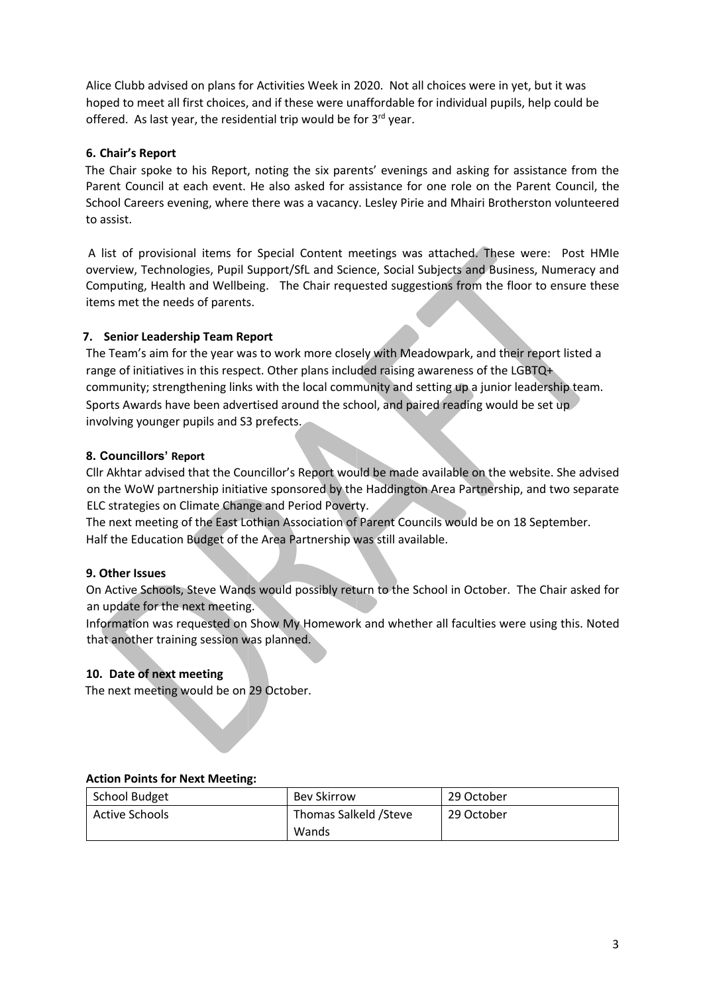Alice Clubb advised on plans for Activities Week in 2020. Not all choices were in yet, but it was hoped to meet all first choices, and if these were unaffordable for individual pupils, help could be offered. As last year, the residential trip would be for  $3^{rd}$  year.

# **6. Chair's Report**

The Chair spoke to his Report, noting the six parents' evenings and asking for assistance from the Parent Council at each event. He also asked for assistance for one role on the Parent Council, the School Careers evening, where there was a vacancy. Lesley Pirie and Mhairi Brotherston volunteered to assist.

A list of provisional items for Special Content meetings was attached. These were: Post HMIe overview, Technologies, Pupil Support/SfL and Science, Social Subjects and Business, Numeracy and Computing, Health and Wellbeing. The Chair requested suggestions from the floor to ensure these items met the needs of parents.

### **7. Senior Leadership Team Report**

The Team's aim for the year was to work more closely with Meadowpark, and their report listed a range of initiatives in this respect. Other plans included raising awareness of the LGBTQ+ community; strengthening links with the local community and setting up a junior leadership team. Sports Awards have been advertised around the school, and paired reading would be set up involving younger pupils and S3 prefects.

### **8. Councillors' Report**

Cllr Akhtar advised that the Councillor's Report would be made available on the website. She advised on the WoW partnership initiative sponsored by the Haddington Area Partnership, and two separate ELC strategies on Climate Change and Period Poverty.

The next meeting of the East Lothian Association of Parent Councils would be on 18 September. Half the Education Budget of the Area Partnership was still available.

#### **9. Other Issues**

On Active Schools, Steve Wands would possibly return to the School in October. The Chair asked for an update for the next meeting.

Information was requested on Show My Homework and whether all faculties were using this. Noted that another training session was planned.

#### **10. Date of next meeting**

The next meeting would be on 29 October.

#### **Action Points for Next Meeting:**

| <b>School Budget</b> | <b>Bev Skirrow</b>     | 29 October |
|----------------------|------------------------|------------|
| Active Schools       | Thomas Salkeld / Steve | 29 October |
|                      | Wands                  |            |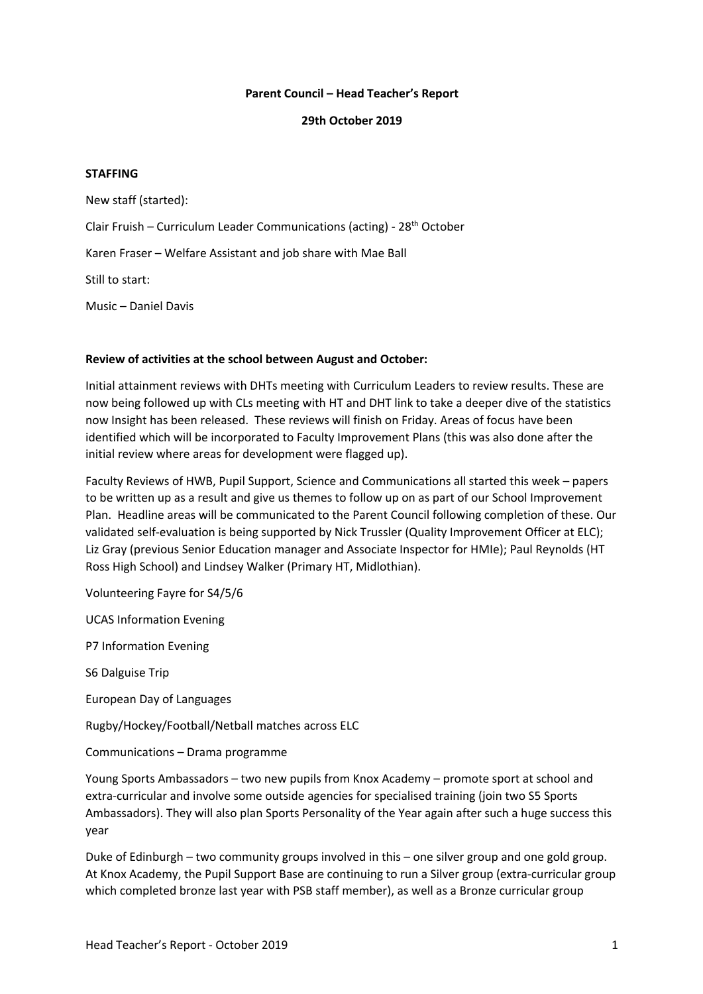#### **Parent Council – Head Teacher's Report**

#### **29th October 2019**

#### **STAFFING**

New staff (started): Clair Fruish – Curriculum Leader Communications (acting) - 28<sup>th</sup> October Karen Fraser – Welfare Assistant and job share with Mae Ball Still to start: Music – Daniel Davis

#### **Review of activities at the school between August and October:**

Initial attainment reviews with DHTs meeting with Curriculum Leaders to review results. These are now being followed up with CLs meeting with HT and DHT link to take a deeper dive of the statistics now Insight has been released. These reviews will finish on Friday. Areas of focus have been identified which will be incorporated to Faculty Improvement Plans (this was also done after the initial review where areas for development were flagged up).

Faculty Reviews of HWB, Pupil Support, Science and Communications all started this week – papers to be written up as a result and give us themes to follow up on as part of our School Improvement Plan. Headline areas will be communicated to the Parent Council following completion of these. Our validated self-evaluation is being supported by Nick Trussler (Quality Improvement Officer at ELC); Liz Gray (previous Senior Education manager and Associate Inspector for HMIe); Paul Reynolds (HT Ross High School) and Lindsey Walker (Primary HT, Midlothian).

Volunteering Fayre for S4/5/6

UCAS Information Evening

P7 Information Evening

S6 Dalguise Trip

European Day of Languages

Rugby/Hockey/Football/Netball matches across ELC

Communications – Drama programme

Young Sports Ambassadors – two new pupils from Knox Academy – promote sport at school and extra-curricular and involve some outside agencies for specialised training (join two S5 Sports Ambassadors). They will also plan Sports Personality of the Year again after such a huge success this year

Duke of Edinburgh – two community groups involved in this – one silver group and one gold group. At Knox Academy, the Pupil Support Base are continuing to run a Silver group (extra-curricular group which completed bronze last year with PSB staff member), as well as a Bronze curricular group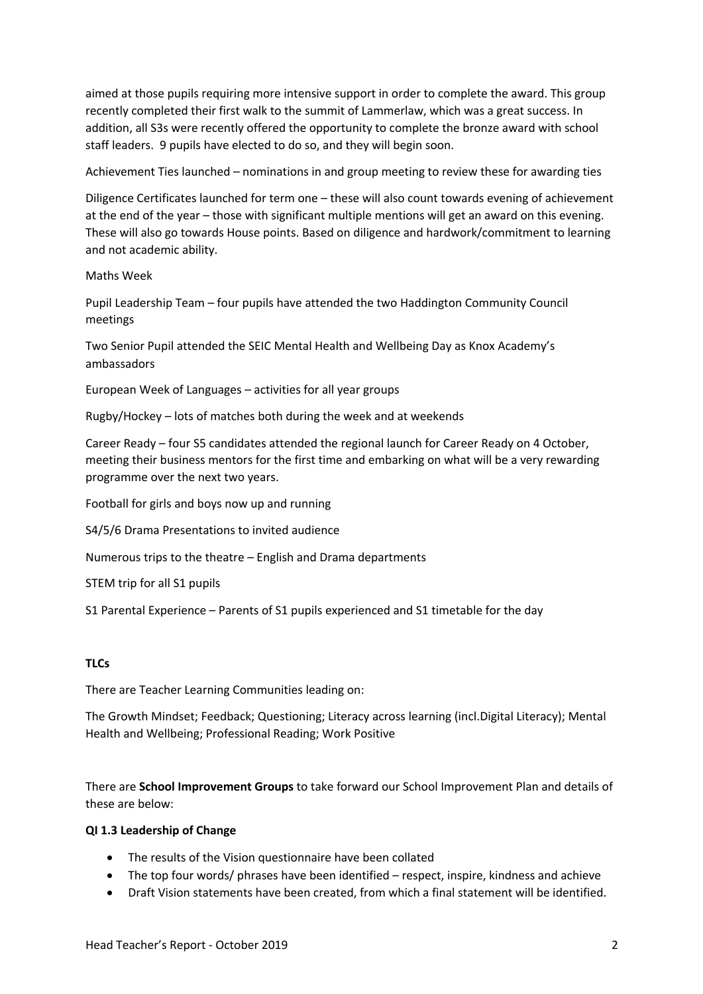aimed at those pupils requiring more intensive support in order to complete the award. This group recently completed their first walk to the summit of Lammerlaw, which was a great success. In addition, all S3s were recently offered the opportunity to complete the bronze award with school staff leaders. 9 pupils have elected to do so, and they will begin soon.

Achievement Ties launched – nominations in and group meeting to review these for awarding ties

Diligence Certificates launched for term one – these will also count towards evening of achievement at the end of the year – those with significant multiple mentions will get an award on this evening. These will also go towards House points. Based on diligence and hardwork/commitment to learning and not academic ability.

Maths Week

Pupil Leadership Team – four pupils have attended the two Haddington Community Council meetings

Two Senior Pupil attended the SEIC Mental Health and Wellbeing Day as Knox Academy's ambassadors

European Week of Languages – activities for all year groups

Rugby/Hockey – lots of matches both during the week and at weekends

Career Ready – four S5 candidates attended the regional launch for Career Ready on 4 October, meeting their business mentors for the first time and embarking on what will be a very rewarding programme over the next two years.

Football for girls and boys now up and running

S4/5/6 Drama Presentations to invited audience

Numerous trips to the theatre – English and Drama departments

STEM trip for all S1 pupils

S1 Parental Experience – Parents of S1 pupils experienced and S1 timetable for the day

# **TLCs**

There are Teacher Learning Communities leading on:

The Growth Mindset; Feedback; Questioning; Literacy across learning (incl.Digital Literacy); Mental Health and Wellbeing; Professional Reading; Work Positive

There are **School Improvement Groups** to take forward our School Improvement Plan and details of these are below:

#### **QI 1.3 Leadership of Change**

- The results of the Vision questionnaire have been collated
- The top four words/ phrases have been identified respect, inspire, kindness and achieve
- Draft Vision statements have been created, from which a final statement will be identified.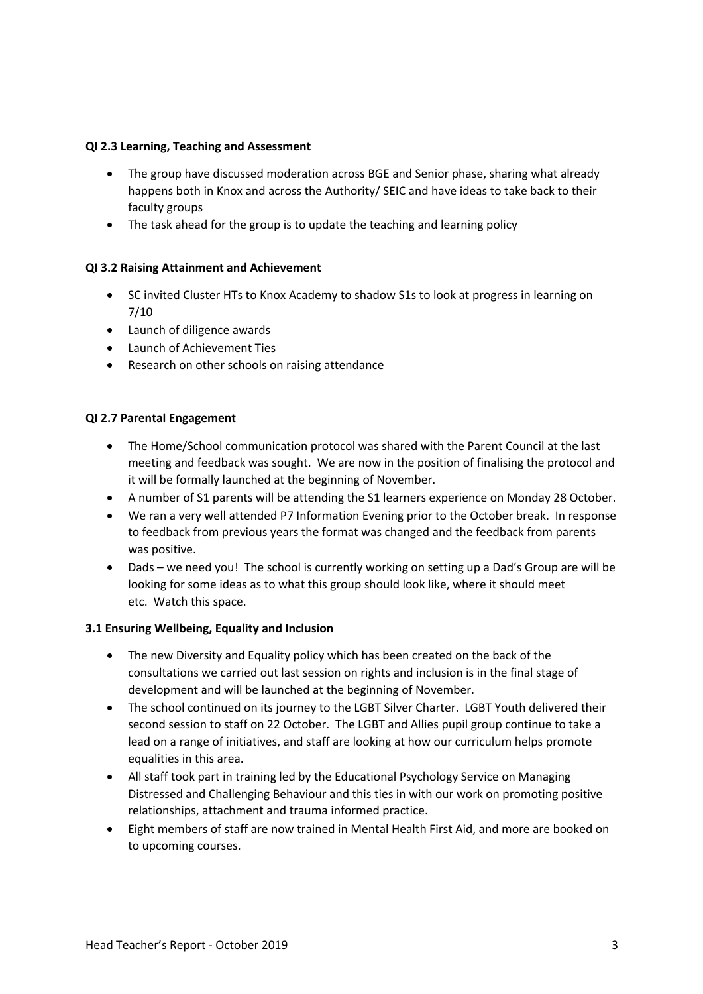### **QI 2.3 Learning, Teaching and Assessment**

- The group have discussed moderation across BGE and Senior phase, sharing what already happens both in Knox and across the Authority/ SEIC and have ideas to take back to their faculty groups
- The task ahead for the group is to update the teaching and learning policy

# **QI 3.2 Raising Attainment and Achievement**

- SC invited Cluster HTs to Knox Academy to shadow S1s to look at progress in learning on 7/10
- Launch of diligence awards
- Launch of Achievement Ties
- Research on other schools on raising attendance

### **QI 2.7 Parental Engagement**

- The Home/School communication protocol was shared with the Parent Council at the last meeting and feedback was sought. We are now in the position of finalising the protocol and it will be formally launched at the beginning of November.
- A number of S1 parents will be attending the S1 learners experience on Monday 28 October.
- We ran a very well attended P7 Information Evening prior to the October break. In response to feedback from previous years the format was changed and the feedback from parents was positive.
- Dads we need you! The school is currently working on setting up a Dad's Group are will be looking for some ideas as to what this group should look like, where it should meet etc. Watch this space.

# **3.1 Ensuring Wellbeing, Equality and Inclusion**

- The new Diversity and Equality policy which has been created on the back of the consultations we carried out last session on rights and inclusion is in the final stage of development and will be launched at the beginning of November.
- The school continued on its journey to the LGBT Silver Charter. LGBT Youth delivered their second session to staff on 22 October. The LGBT and Allies pupil group continue to take a lead on a range of initiatives, and staff are looking at how our curriculum helps promote equalities in this area.
- All staff took part in training led by the Educational Psychology Service on Managing Distressed and Challenging Behaviour and this ties in with our work on promoting positive relationships, attachment and trauma informed practice.
- Eight members of staff are now trained in Mental Health First Aid, and more are booked on to upcoming courses.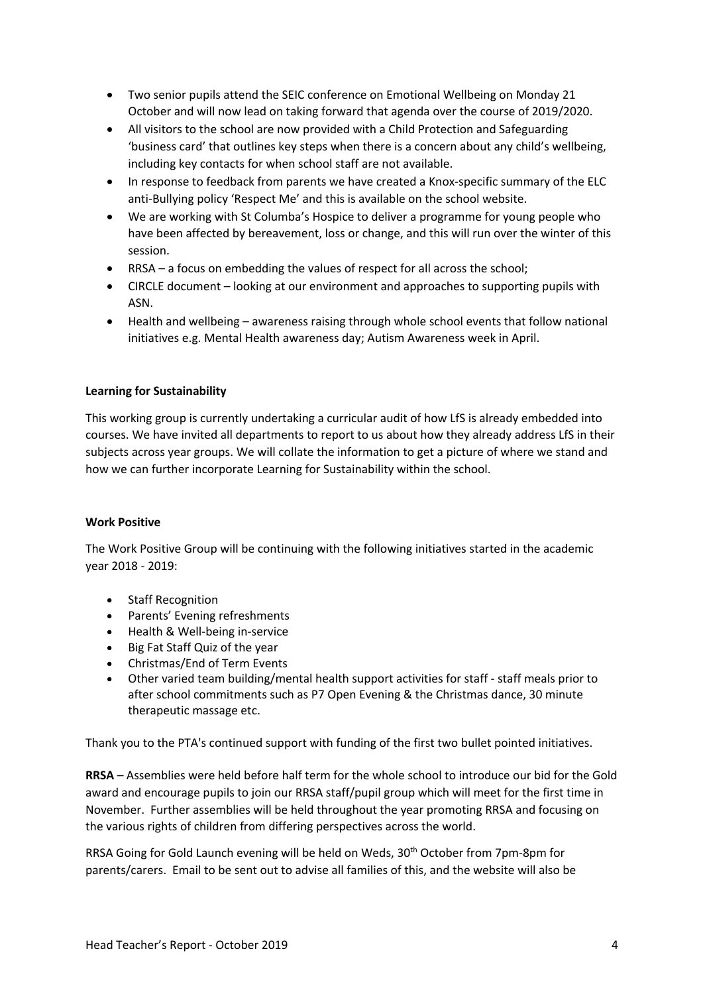- Two senior pupils attend the SEIC conference on Emotional Wellbeing on Monday 21 October and will now lead on taking forward that agenda over the course of 2019/2020.
- All visitors to the school are now provided with a Child Protection and Safeguarding 'business card' that outlines key steps when there is a concern about any child's wellbeing, including key contacts for when school staff are not available.
- In response to feedback from parents we have created a Knox-specific summary of the ELC anti-Bullying policy 'Respect Me' and this is available on the school website.
- We are working with St Columba's Hospice to deliver a programme for young people who have been affected by bereavement, loss or change, and this will run over the winter of this session.
- RRSA a focus on embedding the values of respect for all across the school;
- CIRCLE document looking at our environment and approaches to supporting pupils with ASN.
- Health and wellbeing awareness raising through whole school events that follow national initiatives e.g. Mental Health awareness day; Autism Awareness week in April.

### **Learning for Sustainability**

This working group is currently undertaking a curricular audit of how LfS is already embedded into courses. We have invited all departments to report to us about how they already address LfS in their subjects across year groups. We will collate the information to get a picture of where we stand and how we can further incorporate Learning for Sustainability within the school.

#### **Work Positive**

The Work Positive Group will be continuing with the following initiatives started in the academic year 2018 - 2019:

- Staff Recognition
- Parents' Evening refreshments
- Health & Well-being in-service
- Big Fat Staff Quiz of the year
- Christmas/End of Term Events
- Other varied team building/mental health support activities for staff staff meals prior to after school commitments such as P7 Open Evening & the Christmas dance, 30 minute therapeutic massage etc.

Thank you to the PTA's continued support with funding of the first two bullet pointed initiatives.

**RRSA** – Assemblies were held before half term for the whole school to introduce our bid for the Gold award and encourage pupils to join our RRSA staff/pupil group which will meet for the first time in November. Further assemblies will be held throughout the year promoting RRSA and focusing on the various rights of children from differing perspectives across the world.

RRSA Going for Gold Launch evening will be held on Weds, 30<sup>th</sup> October from 7pm-8pm for parents/carers. Email to be sent out to advise all families of this, and the website will also be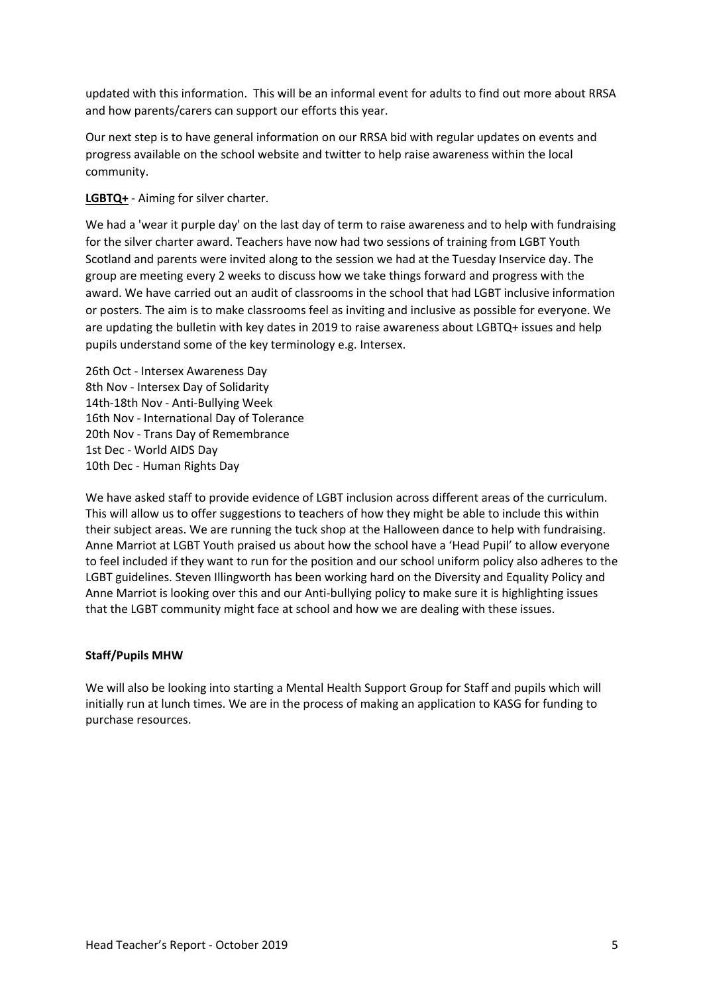updated with this information. This will be an informal event for adults to find out more about RRSA and how parents/carers can support our efforts this year.

Our next step is to have general information on our RRSA bid with regular updates on events and progress available on the school website and twitter to help raise awareness within the local community.

**LGBTQ+** - Aiming for silver charter.

We had a 'wear it purple day' on the last day of term to raise awareness and to help with fundraising for the silver charter award. Teachers have now had two sessions of training from LGBT Youth Scotland and parents were invited along to the session we had at the Tuesday Inservice day. The group are meeting every 2 weeks to discuss how we take things forward and progress with the award. We have carried out an audit of classrooms in the school that had LGBT inclusive information or posters. The aim is to make classrooms feel as inviting and inclusive as possible for everyone. We are updating the bulletin with key dates in 2019 to raise awareness about LGBTQ+ issues and help pupils understand some of the key terminology e.g. Intersex.

26th Oct - Intersex Awareness Day 8th Nov - Intersex Day of Solidarity 14th-18th Nov - Anti-Bullying Week 16th Nov - International Day of Tolerance 20th Nov - Trans Day of Remembrance 1st Dec - World AIDS Day 10th Dec - Human Rights Day

We have asked staff to provide evidence of LGBT inclusion across different areas of the curriculum. This will allow us to offer suggestions to teachers of how they might be able to include this within their subject areas. We are running the tuck shop at the Halloween dance to help with fundraising. Anne Marriot at LGBT Youth praised us about how the school have a 'Head Pupil' to allow everyone to feel included if they want to run for the position and our school uniform policy also adheres to the LGBT guidelines. Steven Illingworth has been working hard on the Diversity and Equality Policy and Anne Marriot is looking over this and our Anti-bullying policy to make sure it is highlighting issues that the LGBT community might face at school and how we are dealing with these issues.

#### **Staff/Pupils MHW**

We will also be looking into starting a Mental Health Support Group for Staff and pupils which will initially run at lunch times. We are in the process of making an application to KASG for funding to purchase resources.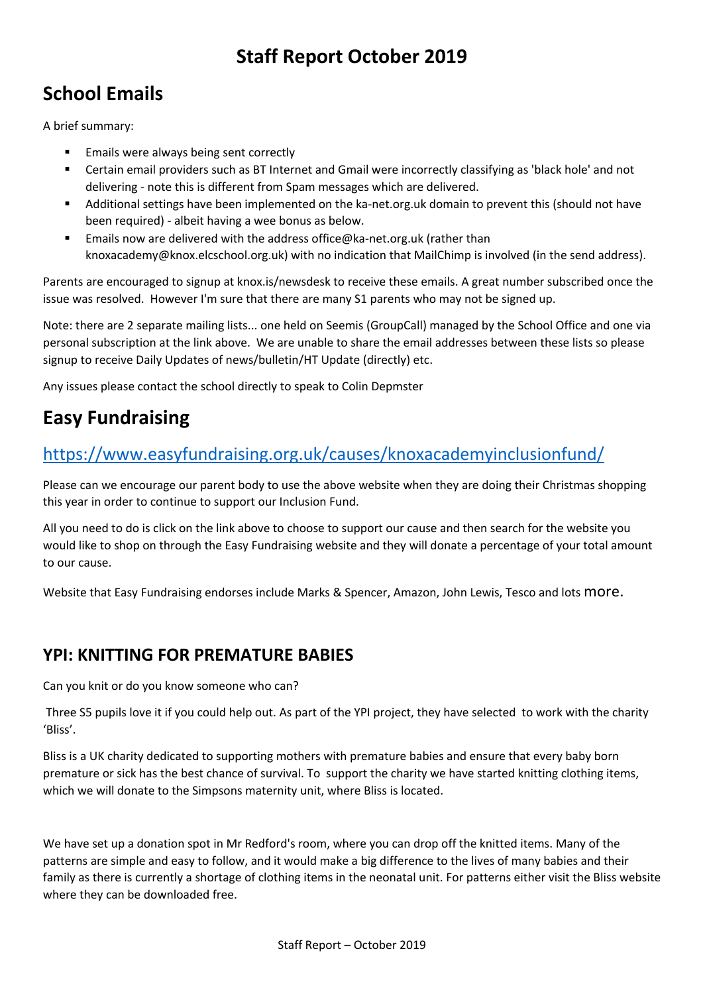# **Staff Report October 2019**

# **School Emails**

A brief summary:

- Emails were always being sent correctly
- Certain email providers such as BT Internet and Gmail were incorrectly classifying as 'black hole' and not delivering - note this is different from Spam messages which are delivered.
- § Additional settings have been implemented on the ka-net.org.uk domain to prevent this (should not have been required) - albeit having a wee bonus as below.
- Emails now are delivered with the address office@ka-net.org.uk (rather than knoxacademy@knox.elcschool.org.uk) with no indication that MailChimp is involved (in the send address).

Parents are encouraged to signup at knox.is/newsdesk to receive these emails. A great number subscribed once the issue was resolved. However I'm sure that there are many S1 parents who may not be signed up.

Note: there are 2 separate mailing lists... one held on Seemis (GroupCall) managed by the School Office and one via personal subscription at the link above. We are unable to share the email addresses between these lists so please signup to receive Daily Updates of news/bulletin/HT Update (directly) etc.

Any issues please contact the school directly to speak to Colin Depmster

# **Easy Fundraising**

# https://www.easyfundraising.org.uk/causes/knoxacademyinclusionfund/

Please can we encourage our parent body to use the above website when they are doing their Christmas shopping this year in order to continue to support our Inclusion Fund.

All you need to do is click on the link above to choose to support our cause and then search for the website you would like to shop on through the Easy Fundraising website and they will donate a percentage of your total amount to our cause.

Website that Easy Fundraising endorses include Marks & Spencer, Amazon, John Lewis, Tesco and lots more.

# **YPI: KNITTING FOR PREMATURE BABIES**

Can you knit or do you know someone who can?

Three S5 pupils love it if you could help out. As part of the YPI project, they have selected to work with the charity 'Bliss'.

Bliss is a UK charity dedicated to supporting mothers with premature babies and ensure that every baby born premature or sick has the best chance of survival. To support the charity we have started knitting clothing items, which we will donate to the Simpsons maternity unit, where Bliss is located.

We have set up a donation spot in Mr Redford's room, where you can drop off the knitted items. Many of the patterns are simple and easy to follow, and it would make a big difference to the lives of many babies and their family as there is currently a shortage of clothing items in the neonatal unit. For patterns either visit the Bliss website where they can be downloaded free.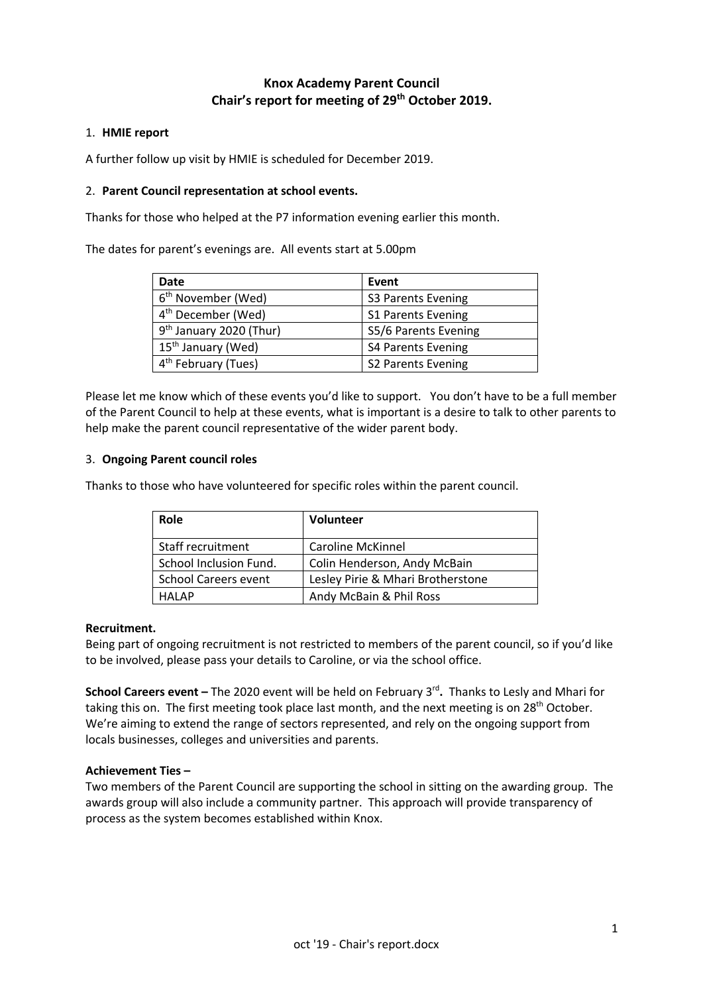# **Knox Academy Parent Council Chair's report for meeting of 29th October 2019.**

#### 1. **HMIE report**

A further follow up visit by HMIE is scheduled for December 2019.

#### 2. **Parent Council representation at school events.**

Thanks for those who helped at the P7 information evening earlier this month.

The dates for parent's evenings are. All events start at 5.00pm

| Date                                | Event                     |
|-------------------------------------|---------------------------|
| 6 <sup>th</sup> November (Wed)      | <b>S3 Parents Evening</b> |
| 4 <sup>th</sup> December (Wed)      | <b>S1 Parents Evening</b> |
| 9 <sup>th</sup> January 2020 (Thur) | S5/6 Parents Evening      |
| 15 <sup>th</sup> January (Wed)      | <b>S4 Parents Evening</b> |
| 4 <sup>th</sup> February (Tues)     | S2 Parents Evening        |

Please let me know which of these events you'd like to support. You don't have to be a full member of the Parent Council to help at these events, what is important is a desire to talk to other parents to help make the parent council representative of the wider parent body.

### 3. **Ongoing Parent council roles**

Thanks to those who have volunteered for specific roles within the parent council.

| Role                        | <b>Volunteer</b>                  |
|-----------------------------|-----------------------------------|
| Staff recruitment           | <b>Caroline McKinnel</b>          |
| School Inclusion Fund.      | Colin Henderson, Andy McBain      |
| <b>School Careers event</b> | Lesley Pirie & Mhari Brotherstone |
| <b>HALAP</b>                | Andy McBain & Phil Ross           |

#### **Recruitment.**

Being part of ongoing recruitment is not restricted to members of the parent council, so if you'd like to be involved, please pass your details to Caroline, or via the school office.

**School Careers event –** The 2020 event will be held on February 3rd**.** Thanks to Lesly and Mhari for taking this on. The first meeting took place last month, and the next meeting is on 28<sup>th</sup> October. We're aiming to extend the range of sectors represented, and rely on the ongoing support from locals businesses, colleges and universities and parents.

#### **Achievement Ties –**

Two members of the Parent Council are supporting the school in sitting on the awarding group. The awards group will also include a community partner. This approach will provide transparency of process as the system becomes established within Knox.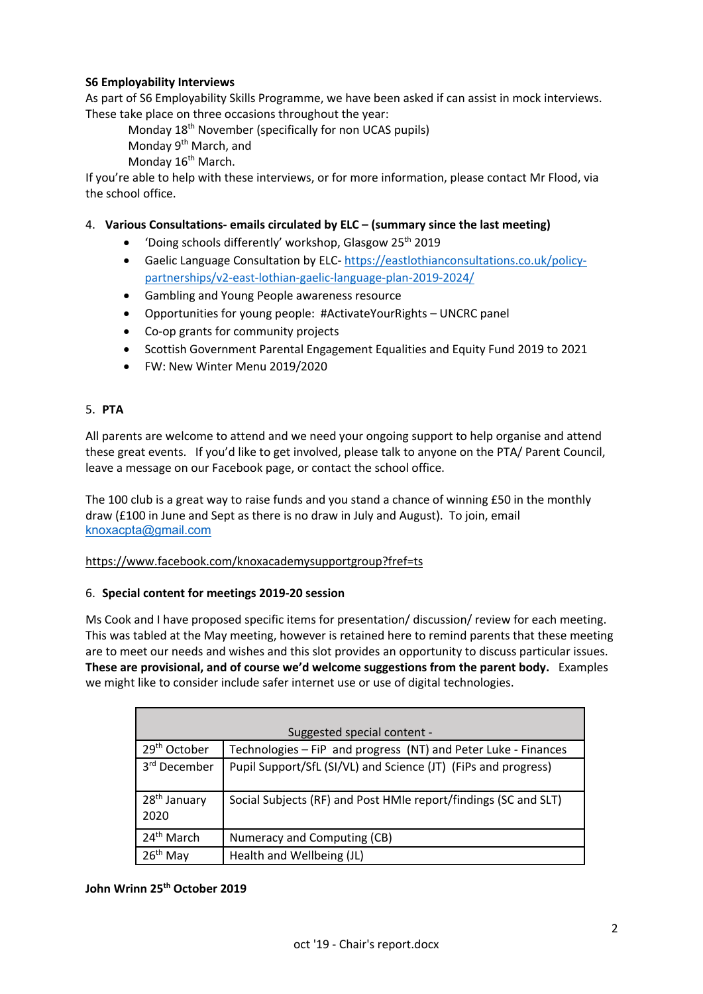# **S6 Employability Interviews**

As part of S6 Employability Skills Programme, we have been asked if can assist in mock interviews. These take place on three occasions throughout the year:

Monday 18th November (specifically for non UCAS pupils)

Monday 9th March, and

Monday 16<sup>th</sup> March.

If you're able to help with these interviews, or for more information, please contact Mr Flood, via the school office.

### 4. **Various Consultations- emails circulated by ELC – (summary since the last meeting)**

- 'Doing schools differently' workshop, Glasgow  $25<sup>th</sup>$  2019
- Gaelic Language Consultation by ELC- https://eastlothianconsultations.co.uk/policypartnerships/v2-east-lothian-gaelic-language-plan-2019-2024/
- Gambling and Young People awareness resource
- Opportunities for young people: #ActivateYourRights UNCRC panel
- Co-op grants for community projects
- Scottish Government Parental Engagement Equalities and Equity Fund 2019 to 2021
- FW: New Winter Menu 2019/2020

### 5. **PTA**

All parents are welcome to attend and we need your ongoing support to help organise and attend these great events. If you'd like to get involved, please talk to anyone on the PTA/ Parent Council, leave a message on our Facebook page, or contact the school office.

The 100 club is a great way to raise funds and you stand a chance of winning £50 in the monthly draw (£100 in June and Sept as there is no draw in July and August). To join, email knoxacpta@gmail.com

#### https://www.facebook.com/knoxacademysupportgroup?fref=ts

#### 6. **Special content for meetings 2019-20 session**

Ms Cook and I have proposed specific items for presentation/ discussion/ review for each meeting. This was tabled at the May meeting, however is retained here to remind parents that these meeting are to meet our needs and wishes and this slot provides an opportunity to discuss particular issues. **These are provisional, and of course we'd welcome suggestions from the parent body.** Examples we might like to consider include safer internet use or use of digital technologies.

| Suggested special content -      |                                                                 |  |
|----------------------------------|-----------------------------------------------------------------|--|
| 29 <sup>th</sup> October         | Technologies - FiP and progress (NT) and Peter Luke - Finances  |  |
| 3 <sup>rd</sup> December         | Pupil Support/SfL (SI/VL) and Science (JT) (FiPs and progress)  |  |
| 28 <sup>th</sup> January<br>2020 | Social Subjects (RF) and Post HMIe report/findings (SC and SLT) |  |
| 24 <sup>th</sup> March           | Numeracy and Computing (CB)                                     |  |
| $26th$ May                       | Health and Wellbeing (JL)                                       |  |

# **John Wrinn 25th October 2019**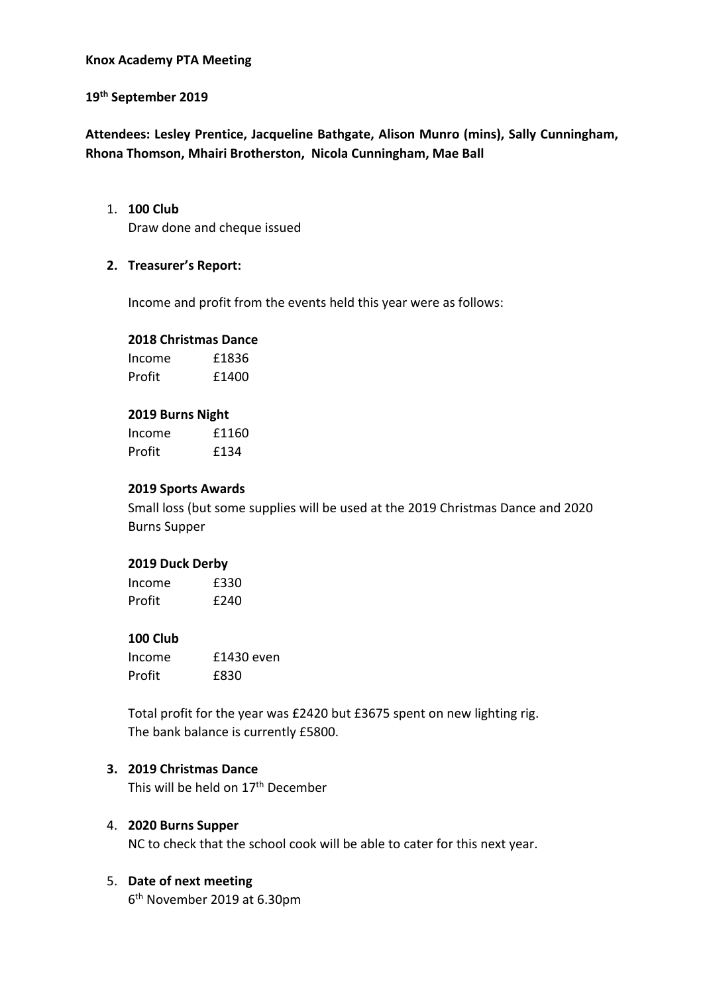# **Knox Academy PTA Meeting**

# **19th September 2019**

**Attendees: Lesley Prentice, Jacqueline Bathgate, Alison Munro (mins), Sally Cunningham, Rhona Thomson, Mhairi Brotherston, Nicola Cunningham, Mae Ball**

#### 1. **100 Club**

Draw done and cheque issued

# **2. Treasurer's Report:**

Income and profit from the events held this year were as follows:

# **2018 Christmas Dance**

Income £1836 Profit £1400

### **2019 Burns Night**

| Income | £1160 |
|--------|-------|
| Profit | £134  |

# **2019 Sports Awards**

Small loss (but some supplies will be used at the 2019 Christmas Dance and 2020 Burns Supper

# **2019 Duck Derby**

| Income | £330 |
|--------|------|
| Profit | £240 |

# **100 Club**

| Income | £1430 even |
|--------|------------|
| Profit | £830       |

Total profit for the year was £2420 but £3675 spent on new lighting rig. The bank balance is currently £5800.

# **3. 2019 Christmas Dance**

This will be held on 17<sup>th</sup> December

# 4. **2020 Burns Supper**

NC to check that the school cook will be able to cater for this next year.

# 5. **Date of next meeting**

6th November 2019 at 6.30pm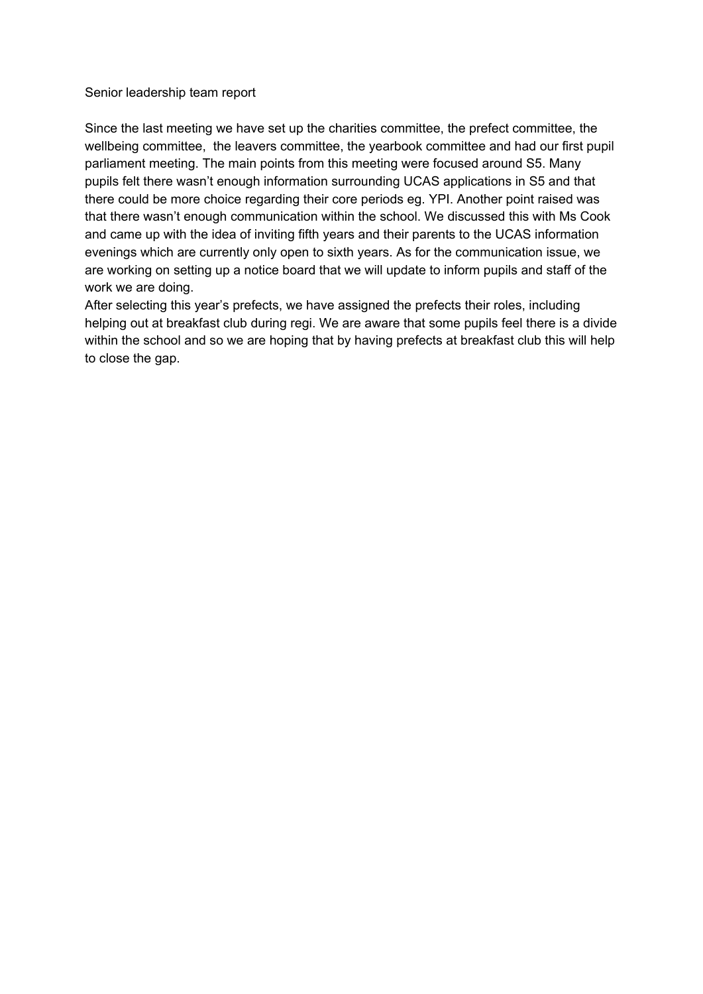### Senior leadership team report

Since the last meeting we have set up the charities committee, the prefect committee, the wellbeing committee, the leavers committee, the yearbook committee and had our first pupil parliament meeting. The main points from this meeting were focused around S5. Many pupils felt there wasn't enough information surrounding UCAS applications in S5 and that there could be more choice regarding their core periods eg. YPI. Another point raised was that there wasn't enough communication within the school. We discussed this with Ms Cook and came up with the idea of inviting fifth years and their parents to the UCAS information evenings which are currently only open to sixth years. As for the communication issue, we are working on setting up a notice board that we will update to inform pupils and staff of the work we are doing.

After selecting this year's prefects, we have assigned the prefects their roles, including helping out at breakfast club during regi. We are aware that some pupils feel there is a divide within the school and so we are hoping that by having prefects at breakfast club this will help to close the gap.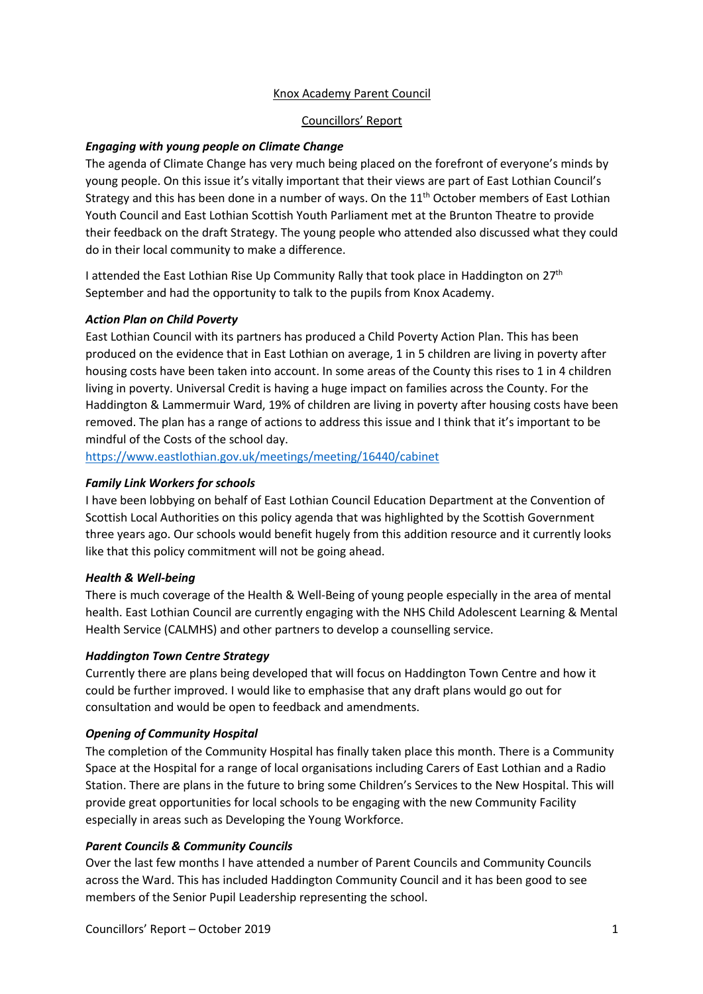#### Knox Academy Parent Council

#### Councillors' Report

#### *Engaging with young people on Climate Change*

The agenda of Climate Change has very much being placed on the forefront of everyone's minds by young people. On this issue it's vitally important that their views are part of East Lothian Council's Strategy and this has been done in a number of ways. On the  $11<sup>th</sup>$  October members of East Lothian Youth Council and East Lothian Scottish Youth Parliament met at the Brunton Theatre to provide their feedback on the draft Strategy. The young people who attended also discussed what they could do in their local community to make a difference.

I attended the East Lothian Rise Up Community Rally that took place in Haddington on  $27<sup>th</sup>$ September and had the opportunity to talk to the pupils from Knox Academy.

#### *Action Plan on Child Poverty*

East Lothian Council with its partners has produced a Child Poverty Action Plan. This has been produced on the evidence that in East Lothian on average, 1 in 5 children are living in poverty after housing costs have been taken into account. In some areas of the County this rises to 1 in 4 children living in poverty. Universal Credit is having a huge impact on families across the County. For the Haddington & Lammermuir Ward, 19% of children are living in poverty after housing costs have been removed. The plan has a range of actions to address this issue and I think that it's important to be mindful of the Costs of the school day.

https://www.eastlothian.gov.uk/meetings/meeting/16440/cabinet

#### *Family Link Workers for schools*

I have been lobbying on behalf of East Lothian Council Education Department at the Convention of Scottish Local Authorities on this policy agenda that was highlighted by the Scottish Government three years ago. Our schools would benefit hugely from this addition resource and it currently looks like that this policy commitment will not be going ahead.

#### *Health & Well-being*

There is much coverage of the Health & Well-Being of young people especially in the area of mental health. East Lothian Council are currently engaging with the NHS Child Adolescent Learning & Mental Health Service (CALMHS) and other partners to develop a counselling service.

#### *Haddington Town Centre Strategy*

Currently there are plans being developed that will focus on Haddington Town Centre and how it could be further improved. I would like to emphasise that any draft plans would go out for consultation and would be open to feedback and amendments.

#### *Opening of Community Hospital*

The completion of the Community Hospital has finally taken place this month. There is a Community Space at the Hospital for a range of local organisations including Carers of East Lothian and a Radio Station. There are plans in the future to bring some Children's Services to the New Hospital. This will provide great opportunities for local schools to be engaging with the new Community Facility especially in areas such as Developing the Young Workforce.

#### *Parent Councils & Community Councils*

Over the last few months I have attended a number of Parent Councils and Community Councils across the Ward. This has included Haddington Community Council and it has been good to see members of the Senior Pupil Leadership representing the school.